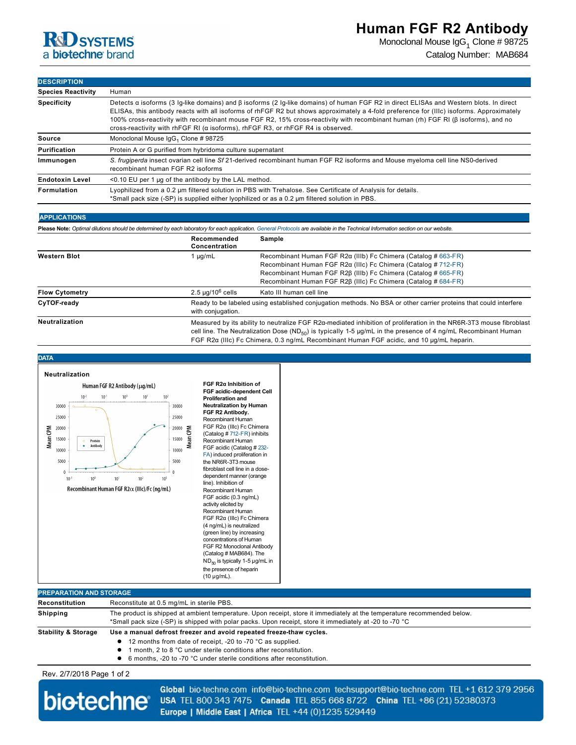Monoclonal Mouse IgG<sub>1</sub> Clone # 98725 Catalog Number: MAB684

## **DESCRIPTION Species Reactivity** Human **Specificity** Detects α isoforms (3 Iglike domains) and β isoforms (2 Iglike domains) of human FGF R2 in direct ELISAs and Western blots. In direct ELISAs, this antibody reacts with all isoforms of rhFGF R2 but shows approximately a 4fold preference for (IIIc) isoforms. Approximately 100% crossreactivity with recombinant mouse FGF R2, 15% crossreactivity with recombinant human (rh) FGF RI (β isoforms), and no crossreactivity with rhFGF RI (α isoforms), rhFGF R3, or rhFGF R4 is observed. **Source** Monoclonal Mouse IgG<sub>1</sub> Clone # 98725 Purification **Protein A or G purified from hybridoma culture supernatant** Immunogen S. frugiperda insect ovarian cell line Sf 21-derived recombinant human FGF R2 isoforms and Mouse myeloma cell line NS0-derived recombinant human FGF R2 isoforms **Endotoxin Level** <0.10 EU per 1 μg of the antibody by the LAL method. **Formulation** Lyophilized from a 0.2 μm filtered solution in PBS with Trehalose. See Certificate of Analysis for details. \*Small pack size (SP) is supplied either lyophilized or as a 0.2 μm filtered solution in PBS.

| <b>APPLICATIONS</b><br>Please Note: Optimal dilutions should be determined by each laboratory for each application. General Protocols are available in the Technical Information section on our website. |                                                                                                                                                                                                                                                                                                                                                             |                                                                        |  |
|----------------------------------------------------------------------------------------------------------------------------------------------------------------------------------------------------------|-------------------------------------------------------------------------------------------------------------------------------------------------------------------------------------------------------------------------------------------------------------------------------------------------------------------------------------------------------------|------------------------------------------------------------------------|--|
|                                                                                                                                                                                                          |                                                                                                                                                                                                                                                                                                                                                             |                                                                        |  |
| <b>Western Blot</b>                                                                                                                                                                                      | 1 µg/mL                                                                                                                                                                                                                                                                                                                                                     | Recombinant Human FGF R2 $\alpha$ (IIIb) Fc Chimera (Catalog # 663-FR) |  |
|                                                                                                                                                                                                          |                                                                                                                                                                                                                                                                                                                                                             | Recombinant Human FGF R2 $\alpha$ (IIIc) Fc Chimera (Catalog # 712-FR) |  |
|                                                                                                                                                                                                          |                                                                                                                                                                                                                                                                                                                                                             | Recombinant Human FGF R2B (IIIb) Fc Chimera (Catalog # 665-FR)         |  |
|                                                                                                                                                                                                          |                                                                                                                                                                                                                                                                                                                                                             | Recombinant Human FGF R2B (IIIc) Fc Chimera (Catalog # 684-FR)         |  |
| <b>Flow Cytometry</b>                                                                                                                                                                                    | $2.5 \mu q/10^6$ cells                                                                                                                                                                                                                                                                                                                                      | Kato III human cell line                                               |  |
| CyTOF-ready                                                                                                                                                                                              | Ready to be labeled using established conjugation methods. No BSA or other carrier proteins that could interfere<br>with conjugation.                                                                                                                                                                                                                       |                                                                        |  |
| <b>Neutralization</b>                                                                                                                                                                                    | Measured by its ability to neutralize FGF R2 $\alpha$ -mediated inhibition of proliferation in the NR6R-3T3 mouse fibroblast<br>cell line. The Neutralization Dose (ND <sub>50</sub> ) is typically 1-5 $\mu g/mL$ in the presence of 4 ng/mL Recombinant Human<br>FGF R2a (IIIc) Fc Chimera, 0.3 ng/mL Recombinant Human FGF acidic, and 10 µg/mL heparin. |                                                                        |  |



| PREPARATION AND STORAGE.       |                                                                                                                                                                                                                                    |  |
|--------------------------------|------------------------------------------------------------------------------------------------------------------------------------------------------------------------------------------------------------------------------------|--|
| Reconstitution                 | Reconstitute at 0.5 mg/mL in sterile PBS.                                                                                                                                                                                          |  |
| Shipping                       | The product is shipped at ambient temperature. Upon receipt, store it immediately at the temperature recommended below.<br>*Small pack size (-SP) is shipped with polar packs. Upon receipt, store it immediately at -20 to -70 °C |  |
| <b>Stability &amp; Storage</b> | Use a manual defrost freezer and avoid repeated freeze-thaw cycles.                                                                                                                                                                |  |
|                                | • 12 months from date of receipt, -20 to -70 °C as supplied.                                                                                                                                                                       |  |
|                                | 1 month. 2 to 8 °C under sterile conditions after reconstitution.                                                                                                                                                                  |  |
|                                | $\bullet$ C months 20 to 70 $\degree$ C under sterile conditions ofter reconstitution                                                                                                                                              |  |

Rev. 2/7/2018 Page 1 of 2



Global bio-techne.com info@bio-techne.com techsupport@bio-techne.com TEL +1 612 379 2956 USA TEL 800 343 7475 Canada TEL 855 668 8722 China TEL +86 (21) 52380373 Europe | Middle East | Africa TEL +44 (0)1235 529449